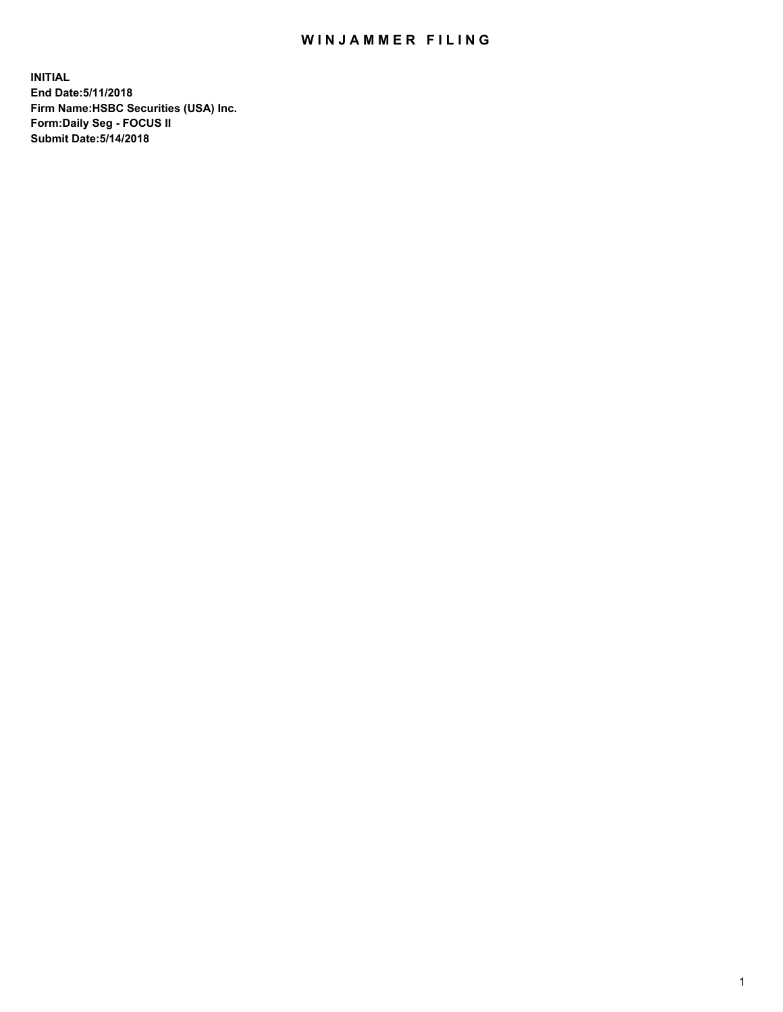## WIN JAMMER FILING

**INITIAL End Date:5/11/2018 Firm Name:HSBC Securities (USA) Inc. Form:Daily Seg - FOCUS II Submit Date:5/14/2018**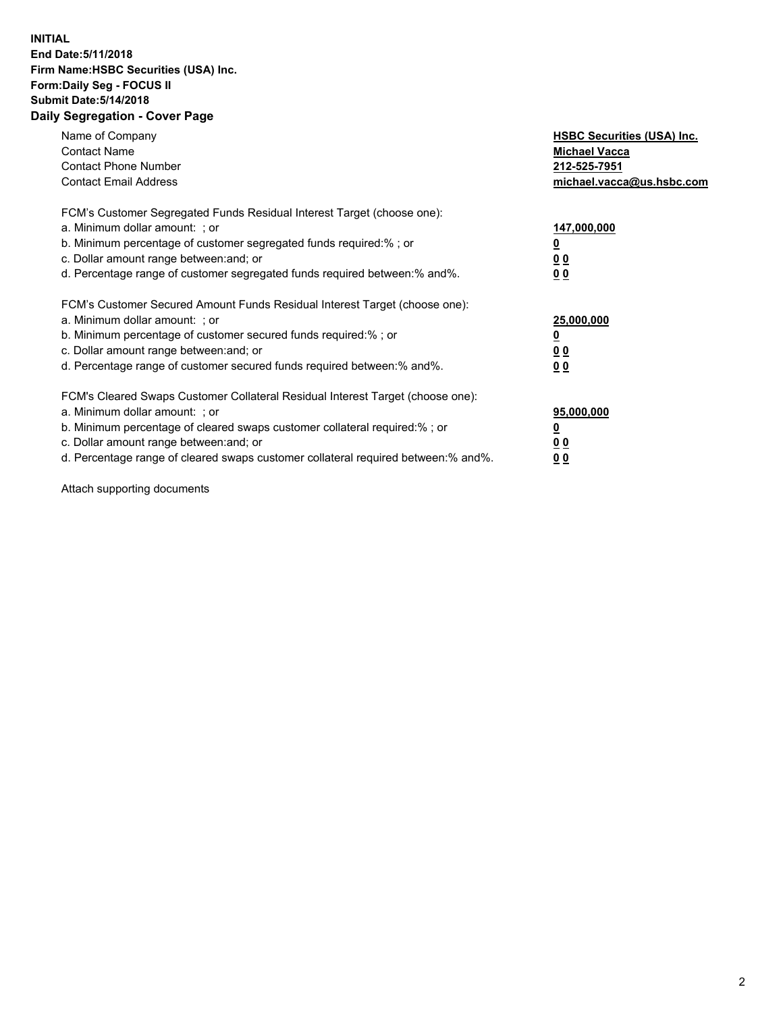## **INITIAL End Date:5/11/2018 Firm Name:HSBC Securities (USA) Inc. Form:Daily Seg - FOCUS II Submit Date:5/14/2018 Daily Segregation - Cover Page**

| Name of Company<br><b>Contact Name</b><br><b>Contact Phone Number</b><br><b>Contact Email Address</b>                                                                                                                                                                                                                         | <b>HSBC Securities (USA) Inc.</b><br><b>Michael Vacca</b><br>212-525-7951<br>michael.vacca@us.hsbc.com |
|-------------------------------------------------------------------------------------------------------------------------------------------------------------------------------------------------------------------------------------------------------------------------------------------------------------------------------|--------------------------------------------------------------------------------------------------------|
| FCM's Customer Segregated Funds Residual Interest Target (choose one):<br>a. Minimum dollar amount: ; or<br>b. Minimum percentage of customer segregated funds required:%; or<br>c. Dollar amount range between: and; or<br>d. Percentage range of customer segregated funds required between:% and%.                         | 147,000,000<br><u>0</u><br>0 <sub>0</sub><br>0 <sub>0</sub>                                            |
| FCM's Customer Secured Amount Funds Residual Interest Target (choose one):<br>a. Minimum dollar amount: ; or<br>b. Minimum percentage of customer secured funds required:%; or<br>c. Dollar amount range between: and; or<br>d. Percentage range of customer secured funds required between: % and %.                         | 25,000,000<br><u>0</u><br><u>00</u><br>0 <sub>0</sub>                                                  |
| FCM's Cleared Swaps Customer Collateral Residual Interest Target (choose one):<br>a. Minimum dollar amount: ; or<br>b. Minimum percentage of cleared swaps customer collateral required:%; or<br>c. Dollar amount range between: and; or<br>d. Percentage range of cleared swaps customer collateral required between:% and%. | 95,000,000<br><u>0</u><br>00<br><u>0 0</u>                                                             |

Attach supporting documents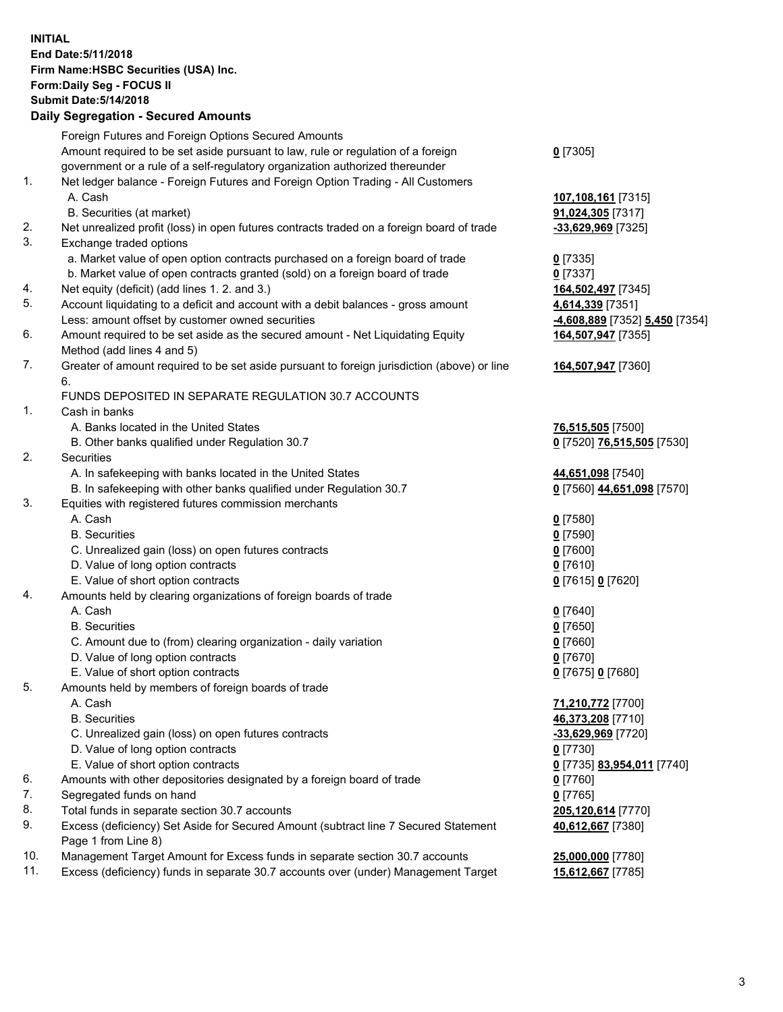**INITIAL End Date:5/11/2018 Firm Name:HSBC Securities (USA) Inc. Form:Daily Seg - FOCUS II Submit Date:5/14/2018 Daily Segregation - Secured Amounts**

Foreign Futures and Foreign Options Secured Amounts Amount required to be set aside pursuant to law, rule or regulation of a foreign government or a rule of a self-regulatory organization authorized thereunder **0** [7305] 1. Net ledger balance - Foreign Futures and Foreign Option Trading - All Customers A. Cash **107,108,161** [7315] B. Securities (at market) **91,024,305** [7317] 2. Net unrealized profit (loss) in open futures contracts traded on a foreign board of trade **-33,629,969** [7325] 3. Exchange traded options a. Market value of open option contracts purchased on a foreign board of trade **0** [7335] b. Market value of open contracts granted (sold) on a foreign board of trade **0** [7337] 4. Net equity (deficit) (add lines 1. 2. and 3.) **164,502,497** [7345] 5. Account liquidating to a deficit and account with a debit balances - gross amount **4,614,339** [7351] Less: amount offset by customer owned securities **-4,608,889** [7352] **5,450** [7354] 6. Amount required to be set aside as the secured amount - Net Liquidating Equity Method (add lines 4 and 5) **164,507,947** [7355] 7. Greater of amount required to be set aside pursuant to foreign jurisdiction (above) or line 6. **164,507,947** [7360] FUNDS DEPOSITED IN SEPARATE REGULATION 30.7 ACCOUNTS 1. Cash in banks A. Banks located in the United States **76,515,505** [7500] B. Other banks qualified under Regulation 30.7 **0** [7520] **76,515,505** [7530] 2. Securities A. In safekeeping with banks located in the United States **44,651,098** [7540] B. In safekeeping with other banks qualified under Regulation 30.7 **0** [7560] **44,651,098** [7570] 3. Equities with registered futures commission merchants A. Cash **0** [7580] B. Securities **0** [7590] C. Unrealized gain (loss) on open futures contracts **0** [7600] D. Value of long option contracts **0** [7610] E. Value of short option contracts **0** [7615] **0** [7620] 4. Amounts held by clearing organizations of foreign boards of trade A. Cash **0** [7640] B. Securities **0** [7650] C. Amount due to (from) clearing organization - daily variation **0** [7660] D. Value of long option contracts **0** [7670] E. Value of short option contracts **0** [7675] **0** [7680] 5. Amounts held by members of foreign boards of trade A. Cash **71,210,772** [7700] B. Securities **46,373,208** [7710] C. Unrealized gain (loss) on open futures contracts **-33,629,969** [7720] D. Value of long option contracts **0** [7730] E. Value of short option contracts **0** [7735] **83,954,011** [7740] 6. Amounts with other depositories designated by a foreign board of trade **0** [7760] 7. Segregated funds on hand **0** [7765] 8. Total funds in separate section 30.7 accounts **205,120,614** [7770] 9. Excess (deficiency) Set Aside for Secured Amount (subtract line 7 Secured Statement Page 1 from Line 8) **40,612,667** [7380] 10. Management Target Amount for Excess funds in separate section 30.7 accounts **25,000,000** [7780] 11. Excess (deficiency) funds in separate 30.7 accounts over (under) Management Target **15,612,667** [7785]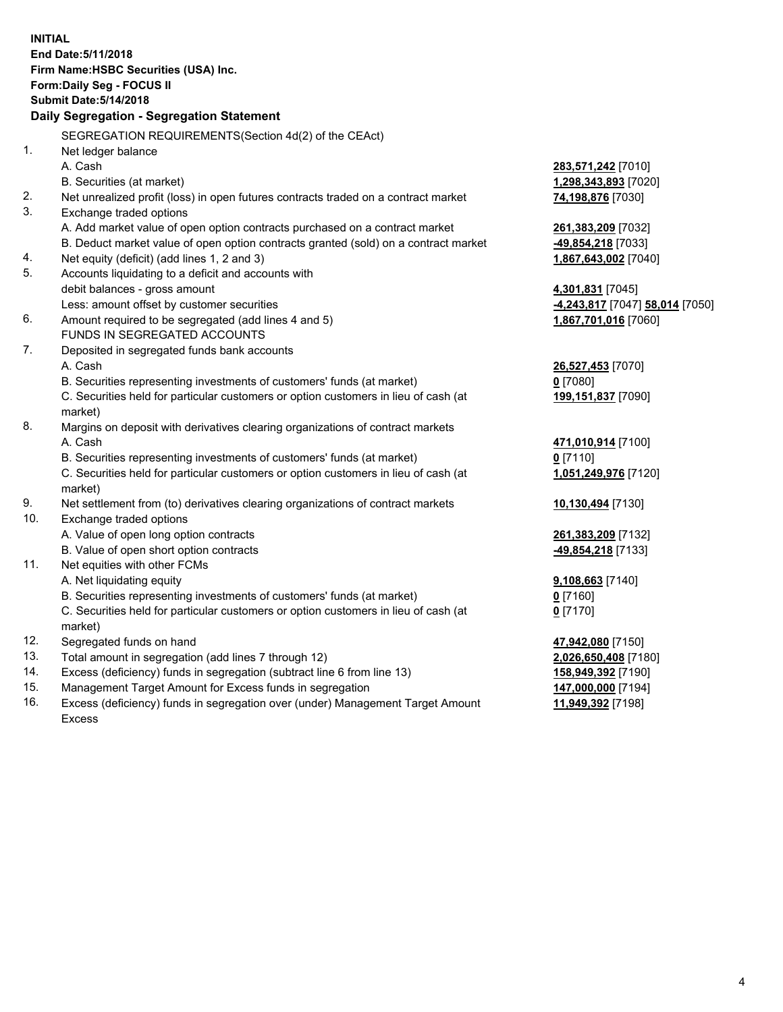**INITIAL End Date:5/11/2018 Firm Name:HSBC Securities (USA) Inc. Form:Daily Seg - FOCUS II Submit Date:5/14/2018 Daily Segregation - Segregation Statement** SEGREGATION REQUIREMENTS(Section 4d(2) of the CEAct) 1. Net ledger balance A. Cash **283,571,242** [7010] B. Securities (at market) **1,298,343,893** [7020] 2. Net unrealized profit (loss) in open futures contracts traded on a contract market **74,198,876** [7030] 3. Exchange traded options A. Add market value of open option contracts purchased on a contract market **261,383,209** [7032] B. Deduct market value of open option contracts granted (sold) on a contract market **-49,854,218** [7033] 4. Net equity (deficit) (add lines 1, 2 and 3) **1,867,643,002** [7040] 5. Accounts liquidating to a deficit and accounts with debit balances - gross amount **4,301,831** [7045] Less: amount offset by customer securities **-4,243,817** [7047] **58,014** [7050] 6. Amount required to be segregated (add lines 4 and 5) **1,867,701,016** [7060] FUNDS IN SEGREGATED ACCOUNTS 7. Deposited in segregated funds bank accounts A. Cash **26,527,453** [7070] B. Securities representing investments of customers' funds (at market) **0** [7080] C. Securities held for particular customers or option customers in lieu of cash (at market) **199,151,837** [7090] 8. Margins on deposit with derivatives clearing organizations of contract markets A. Cash **471,010,914** [7100] B. Securities representing investments of customers' funds (at market) **0** [7110] C. Securities held for particular customers or option customers in lieu of cash (at market) **1,051,249,976** [7120] 9. Net settlement from (to) derivatives clearing organizations of contract markets **10,130,494** [7130] 10. Exchange traded options A. Value of open long option contracts **261,383,209** [7132] B. Value of open short option contracts **-49,854,218** [7133] 11. Net equities with other FCMs A. Net liquidating equity **9,108,663** [7140] B. Securities representing investments of customers' funds (at market) **0** [7160] C. Securities held for particular customers or option customers in lieu of cash (at market) **0** [7170] 12. Segregated funds on hand **47,942,080** [7150] 13. Total amount in segregation (add lines 7 through 12) **2,026,650,408** [7180] 14. Excess (deficiency) funds in segregation (subtract line 6 from line 13) **158,949,392** [7190] 15. Management Target Amount for Excess funds in segregation **147,000,000** [7194]

16. Excess (deficiency) funds in segregation over (under) Management Target Amount Excess

**11,949,392** [7198]